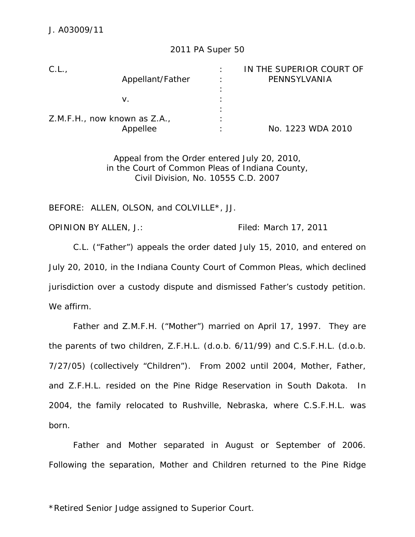## 2011 PA Super 50

|                                   | IN THE SUPERIOR COURT OF |
|-----------------------------------|--------------------------|
| Appellant/Father                  | PENNSYLVANIA             |
|                                   |                          |
|                                   |                          |
| ٠                                 |                          |
| Z.M.F.H., now known as Z.A.,<br>٠ |                          |
|                                   | No. 1223 WDA 2010        |
|                                   |                          |

Appeal from the Order entered July 20, 2010, in the Court of Common Pleas of Indiana County, Civil Division, No. 10555 C.D. 2007

BEFORE: ALLEN, OLSON, and COLVILLE\*, JJ.

OPINION BY ALLEN, J.: Filed: March 17, 2011

 C.L. ("Father") appeals the order dated July 15, 2010, and entered on July 20, 2010, in the Indiana County Court of Common Pleas, which declined jurisdiction over a custody dispute and dismissed Father's custody petition. We affirm.

 Father and Z.M.F.H. ("Mother") married on April 17, 1997. They are the parents of two children, Z.F.H.L. (d.o.b. 6/11/99) and C.S.F.H.L. (d.o.b. 7/27/05) (collectively "Children"). From 2002 until 2004, Mother, Father, and Z.F.H.L. resided on the Pine Ridge Reservation in South Dakota. In 2004, the family relocated to Rushville, Nebraska, where C.S.F.H.L. was born.

Father and Mother separated in August or September of 2006. Following the separation, Mother and Children returned to the Pine Ridge

\*Retired Senior Judge assigned to Superior Court.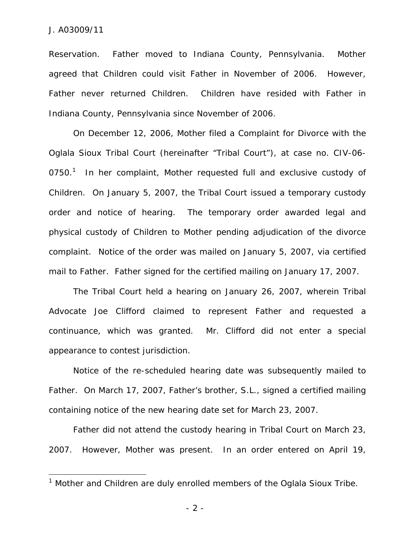$\overline{a}$ 

Reservation. Father moved to Indiana County, Pennsylvania. Mother agreed that Children could visit Father in November of 2006. However, Father never returned Children. Children have resided with Father in Indiana County, Pennsylvania since November of 2006.

On December 12, 2006, Mother filed a Complaint for Divorce with the Oglala Sioux Tribal Court (hereinafter "Tribal Court"), at case no. CIV-06- 0750.<sup>1</sup> In her complaint, Mother requested full and exclusive custody of Children. On January 5, 2007, the Tribal Court issued a temporary custody order and notice of hearing. The temporary order awarded legal and physical custody of Children to Mother pending adjudication of the divorce complaint. Notice of the order was mailed on January 5, 2007, via certified mail to Father. Father signed for the certified mailing on January 17, 2007.

The Tribal Court held a hearing on January 26, 2007, wherein Tribal Advocate Joe Clifford claimed to represent Father and requested a continuance, which was granted. Mr. Clifford did not enter a special appearance to contest jurisdiction.

Notice of the re-scheduled hearing date was subsequently mailed to Father. On March 17, 2007, Father's brother, S.L., signed a certified mailing containing notice of the new hearing date set for March 23, 2007.

Father did not attend the custody hearing in Tribal Court on March 23, 2007. However, Mother was present. In an order entered on April 19,

<sup>&</sup>lt;sup>1</sup> Mother and Children are duly enrolled members of the Oglala Sioux Tribe.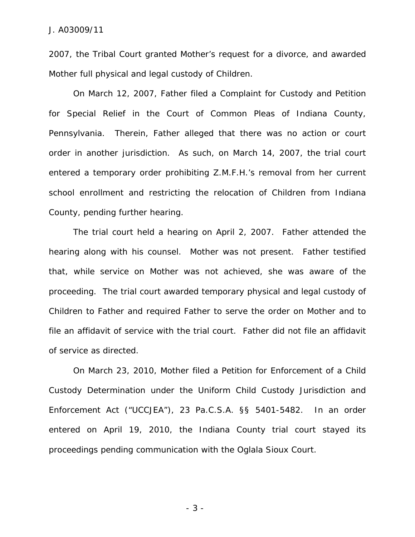2007, the Tribal Court granted Mother's request for a divorce, and awarded Mother full physical and legal custody of Children.

On March 12, 2007, Father filed a Complaint for Custody and Petition for Special Relief in the Court of Common Pleas of Indiana County, Pennsylvania. Therein, Father alleged that there was no action or court order in another jurisdiction. As such, on March 14, 2007, the trial court entered a temporary order prohibiting Z.M.F.H.'s removal from her current school enrollment and restricting the relocation of Children from Indiana County, pending further hearing.

The trial court held a hearing on April 2, 2007. Father attended the hearing along with his counsel. Mother was not present. Father testified that, while service on Mother was not achieved, she was aware of the proceeding. The trial court awarded temporary physical and legal custody of Children to Father and required Father to serve the order on Mother and to file an affidavit of service with the trial court. Father did not file an affidavit of service as directed.

On March 23, 2010, Mother filed a Petition for Enforcement of a Child Custody Determination under the Uniform Child Custody Jurisdiction and Enforcement Act ("UCCJEA"), 23 Pa.C.S.A. §§ 5401-5482. In an order entered on April 19, 2010, the Indiana County trial court stayed its proceedings pending communication with the Oglala Sioux Court.

- 3 -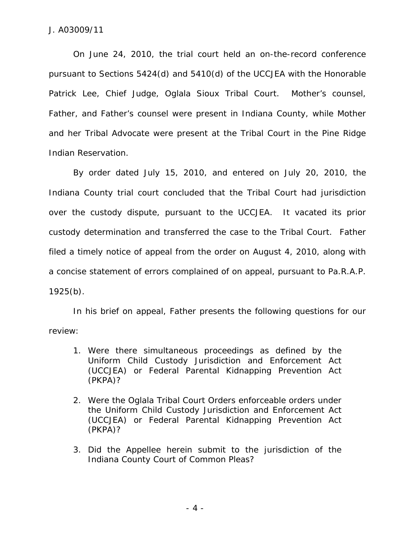On June 24, 2010, the trial court held an on-the-record conference pursuant to Sections 5424(d) and 5410(d) of the UCCJEA with the Honorable Patrick Lee, Chief Judge, Oglala Sioux Tribal Court. Mother's counsel, Father, and Father's counsel were present in Indiana County, while Mother and her Tribal Advocate were present at the Tribal Court in the Pine Ridge Indian Reservation.

 By order dated July 15, 2010, and entered on July 20, 2010, the Indiana County trial court concluded that the Tribal Court had jurisdiction over the custody dispute, pursuant to the UCCJEA. It vacated its prior custody determination and transferred the case to the Tribal Court. Father filed a timely notice of appeal from the order on August 4, 2010, along with a concise statement of errors complained of on appeal, pursuant to Pa.R.A.P. 1925(b).

 In his brief on appeal, Father presents the following questions for our review:

- 1. Were there simultaneous proceedings as defined by the Uniform Child Custody Jurisdiction and Enforcement Act (UCCJEA) or Federal Parental Kidnapping Prevention Act (PKPA)?
- 2. Were the Oglala Tribal Court Orders enforceable orders under the Uniform Child Custody Jurisdiction and Enforcement Act (UCCJEA) or Federal Parental Kidnapping Prevention Act (PKPA)?
- 3. Did the Appellee herein submit to the jurisdiction of the Indiana County Court of Common Pleas?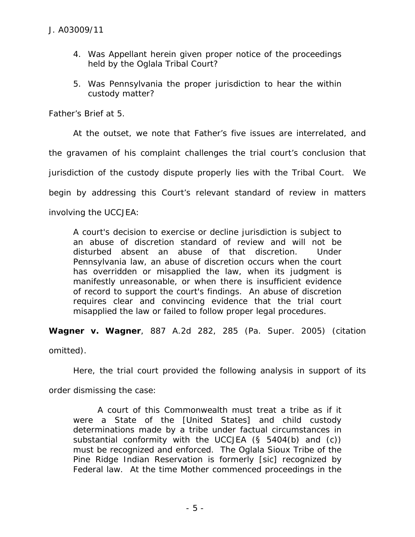- 4. Was Appellant herein given proper notice of the proceedings held by the Oglala Tribal Court?
- 5. Was Pennsylvania the proper jurisdiction to hear the within custody matter?

Father's Brief at 5.

 At the outset, we note that Father's five issues are interrelated, and the gravamen of his complaint challenges the trial court's conclusion that jurisdiction of the custody dispute properly lies with the Tribal Court. We begin by addressing this Court's relevant standard of review in matters involving the UCCJEA:

A court's decision to exercise or decline jurisdiction is subject to an abuse of discretion standard of review and will not be disturbed absent an abuse of that discretion. Under Pennsylvania law, an abuse of discretion occurs when the court has overridden or misapplied the law, when its judgment is manifestly unreasonable, or when there is insufficient evidence of record to support the court's findings. An abuse of discretion requires clear and convincing evidence that the trial court misapplied the law or failed to follow proper legal procedures.

*Wagner v. Wagner*, 887 A.2d 282, 285 (Pa. Super. 2005) (citation

omitted).

Here, the trial court provided the following analysis in support of its

order dismissing the case:

 A court of this Commonwealth must treat a tribe as if it were a State of the [United States] and child custody determinations made by a tribe under factual circumstances in substantial conformity with the UCCJEA (§ 5404(b) and (c)) must be recognized and enforced. The Oglala Sioux Tribe of the Pine Ridge Indian Reservation is formerly [sic] recognized by Federal law. At the time Mother commenced proceedings in the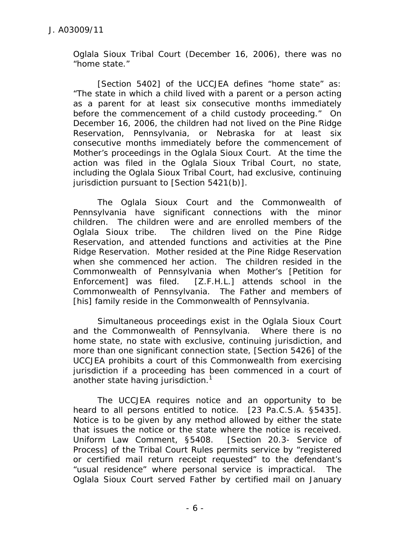Oglala Sioux Tribal Court (December 16, 2006), there was no "home state."

 [Section 5402] of the UCCJEA defines "home state" as: "The state in which a child lived with a parent or a person acting as a parent for at least six consecutive months immediately before the commencement of a child custody proceeding." On December 16, 2006, the children had not lived on the Pine Ridge Reservation, Pennsylvania, or Nebraska for at least six consecutive months immediately before the commencement of Mother's proceedings in the Oglala Sioux Court. At the time the action was filed in the Oglala Sioux Tribal Court, no state, including the Oglala Sioux Tribal Court, had exclusive, continuing jurisdiction pursuant to [Section 5421(b)].

 The Oglala Sioux Court and the Commonwealth of Pennsylvania have significant connections with the minor children. The children were and are enrolled members of the Oglala Sioux tribe. The children lived on the Pine Ridge Reservation, and attended functions and activities at the Pine Ridge Reservation. Mother resided at the Pine Ridge Reservation when she commenced her action. The children resided in the Commonwealth of Pennsylvania when Mother's [Petition for Enforcement] was filed. [Z.F.H.L.] attends school in the Commonwealth of Pennsylvania. The Father and members of [his] family reside in the Commonwealth of Pennsylvania.

 Simultaneous proceedings exist in the Oglala Sioux Court and the Commonwealth of Pennsylvania. Where there is no home state, no state with exclusive, continuing jurisdiction, and more than one significant connection state, [Section 5426] of the UCCJEA prohibits a court of this Commonwealth from exercising jurisdiction if a proceeding has been commenced in a court of another state having jurisdiction.<sup>1</sup>

 The UCCJEA requires notice and an opportunity to be heard to all persons entitled to notice. [23 Pa.C.S.A. §5435]. Notice is to be given by any method allowed by either the state that issues the notice or the state where the notice is received. Uniform Law Comment, §5408. [Section 20.3- Service of Process] of the Tribal Court Rules permits service by "registered or certified mail return receipt requested" to the defendant's "usual residence" where personal service is impractical. The Oglala Sioux Court served Father by certified mail on January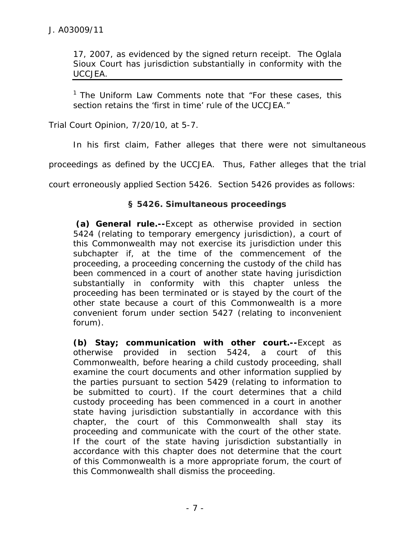17, 2007, as evidenced by the signed return receipt. The Oglala Sioux Court has jurisdiction substantially in conformity with the UCCJEA.

 $1$  The Uniform Law Comments note that "For these cases, this section retains the 'first in time' rule of the UCCJEA."

Trial Court Opinion, 7/20/10, at 5-7.

In his first claim, Father alleges that there were not simultaneous

proceedings as defined by the UCCJEA. Thus, Father alleges that the trial

court erroneously applied Section 5426. Section 5426 provides as follows:

# **§ 5426. Simultaneous proceedings**

 **(a) General rule.--**Except as otherwise provided in section 5424 (relating to temporary emergency jurisdiction), a court of this Commonwealth may not exercise its jurisdiction under this subchapter if, at the time of the commencement of the proceeding, a proceeding concerning the custody of the child has been commenced in a court of another state having jurisdiction substantially in conformity with this chapter unless the proceeding has been terminated or is stayed by the court of the other state because a court of this Commonwealth is a more convenient forum under section 5427 (relating to inconvenient forum).

**(b) Stay; communication with other court.--**Except as otherwise provided in section 5424, a court of this Commonwealth, before hearing a child custody proceeding, shall examine the court documents and other information supplied by the parties pursuant to section 5429 (relating to information to be submitted to court). If the court determines that a child custody proceeding has been commenced in a court in another state having jurisdiction substantially in accordance with this chapter, the court of this Commonwealth shall stay its proceeding and communicate with the court of the other state. If the court of the state having jurisdiction substantially in accordance with this chapter does not determine that the court of this Commonwealth is a more appropriate forum, the court of this Commonwealth shall dismiss the proceeding.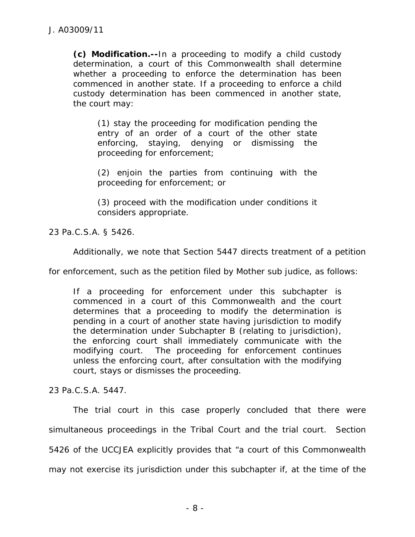**(c) Modification.--**In a proceeding to modify a child custody determination, a court of this Commonwealth shall determine whether a proceeding to enforce the determination has been commenced in another state. If a proceeding to enforce a child custody determination has been commenced in another state, the court may:

(1) stay the proceeding for modification pending the entry of an order of a court of the other state enforcing, staying, denying or dismissing the proceeding for enforcement;

(2) enjoin the parties from continuing with the proceeding for enforcement; or

(3) proceed with the modification under conditions it considers appropriate.

23 Pa.C.S.A. § 5426.

Additionally, we note that Section 5447 directs treatment of a petition

for enforcement, such as the petition filed by Mother *sub judice*, as follows:

If a proceeding for enforcement under this subchapter is commenced in a court of this Commonwealth and the court determines that a proceeding to modify the determination is pending in a court of another state having jurisdiction to modify the determination under Subchapter B (relating to jurisdiction), the enforcing court shall immediately communicate with the modifying court. The proceeding for enforcement continues unless the enforcing court, after consultation with the modifying court, stays or dismisses the proceeding.

23 Pa.C.S.A. 5447.

 The trial court in this case properly concluded that there were simultaneous proceedings in the Tribal Court and the trial court. Section 5426 of the UCCJEA explicitly provides that "a court of this Commonwealth may not exercise its jurisdiction under this subchapter if, at the time of the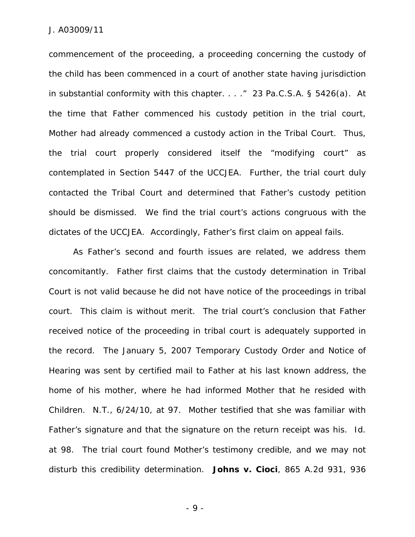commencement of the proceeding, a proceeding concerning the custody of the child has been commenced in a court of another state having jurisdiction in substantial conformity with this chapter. . . ." 23 Pa.C.S.A. § 5426(a). At the time that Father commenced his custody petition in the trial court, Mother had already commenced a custody action in the Tribal Court. Thus, the trial court properly considered itself the "modifying court" as contemplated in Section 5447 of the UCCJEA. Further, the trial court duly contacted the Tribal Court and determined that Father's custody petition should be dismissed. We find the trial court's actions congruous with the dictates of the UCCJEA. Accordingly, Father's first claim on appeal fails.

 As Father's second and fourth issues are related, we address them concomitantly. Father first claims that the custody determination in Tribal Court is not valid because he did not have notice of the proceedings in tribal court. This claim is without merit. The trial court's conclusion that Father received notice of the proceeding in tribal court is adequately supported in the record. The January 5, 2007 Temporary Custody Order and Notice of Hearing was sent by certified mail to Father at his last known address, the home of his mother, where he had informed Mother that he resided with Children. N.T., 6/24/10, at 97. Mother testified that she was familiar with Father's signature and that the signature on the return receipt was his. *Id*. at 98. The trial court found Mother's testimony credible, and we may not disturb this credibility determination. *Johns v. Cioci*, 865 A.2d 931, 936

- 9 -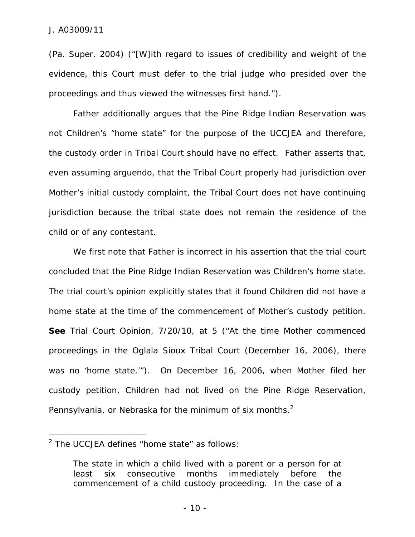(Pa. Super. 2004) ("[W]ith regard to issues of credibility and weight of the evidence, this Court must defer to the trial judge who presided over the proceedings and thus viewed the witnesses first hand.").

Father additionally argues that the Pine Ridge Indian Reservation was not Children's "home state" for the purpose of the UCCJEA and therefore, the custody order in Tribal Court should have no effect. Father asserts that, even assuming *arguendo*, that the Tribal Court properly had jurisdiction over Mother's initial custody complaint, the Tribal Court does not have continuing jurisdiction because the tribal state does not remain the residence of the child or of any contestant.

We first note that Father is incorrect in his assertion that the trial court concluded that the Pine Ridge Indian Reservation was Children's home state. The trial court's opinion explicitly states that it found Children did not have a home state at the time of the commencement of Mother's custody petition. **See** Trial Court Opinion, 7/20/10, at 5 ("At the time Mother commenced proceedings in the Oglala Sioux Tribal Court (December 16, 2006), there was no 'home state.'"). On December 16, 2006, when Mother filed her custody petition, Children had not lived on the Pine Ridge Reservation, Pennsylvania, or Nebraska for the minimum of six months.<sup>2</sup>

 $\overline{a}$ 

 $2$  The UCCJEA defines "home state" as follows:

The state in which a child lived with a parent or a person for at least six consecutive months immediately before the commencement of a child custody proceeding. In the case of a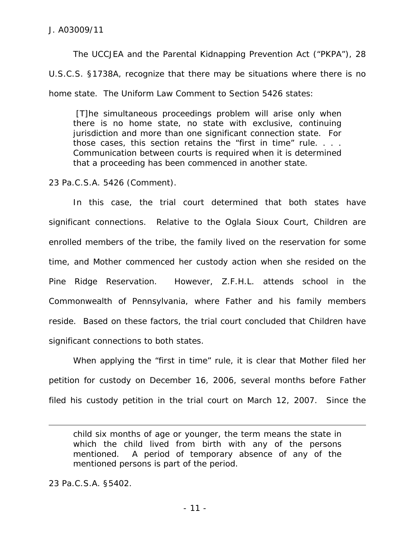The UCCJEA and the Parental Kidnapping Prevention Act ("PKPA"), 28 U.S.C.S. §1738A, recognize that there may be situations where there is no home state. The Uniform Law Comment to Section 5426 states:

 [T]he simultaneous proceedings problem will arise only when there is no home state, no state with exclusive, continuing jurisdiction and more than one significant connection state. For those cases, this section retains the "first in time" rule. . . . Communication between courts is required when it is determined that a proceeding has been commenced in another state.

23 Pa.C.S.A. 5426 (Comment).

In this case, the trial court determined that both states have significant connections. Relative to the Oglala Sioux Court, Children are enrolled members of the tribe, the family lived on the reservation for some time, and Mother commenced her custody action when she resided on the Pine Ridge Reservation. However, Z.F.H.L. attends school in the Commonwealth of Pennsylvania, where Father and his family members reside. Based on these factors, the trial court concluded that Children have significant connections to both states.

 When applying the "first in time" rule, it is clear that Mother filed her petition for custody on December 16, 2006, several months before Father filed his custody petition in the trial court on March 12, 2007. Since the

23 Pa.C.S.A. §5402.

 $\overline{a}$ 

child six months of age or younger, the term means the state in which the child lived from birth with any of the persons mentioned. A period of temporary absence of any of the mentioned persons is part of the period.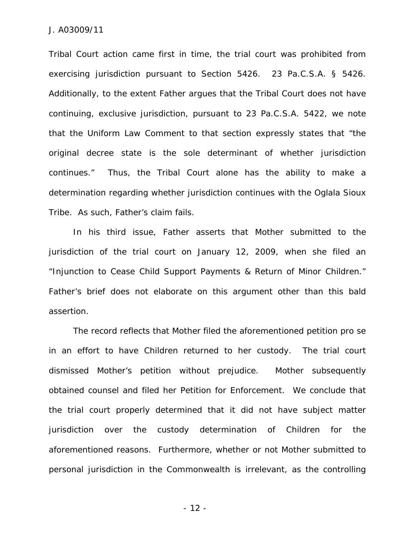Tribal Court action came first in time, the trial court was prohibited from exercising jurisdiction pursuant to Section 5426. 23 Pa.C.S.A. § 5426. Additionally, to the extent Father argues that the Tribal Court does not have continuing, exclusive jurisdiction, pursuant to 23 Pa.C.S.A. 5422, we note that the Uniform Law Comment to that section expressly states that "the original decree state is the sole determinant of whether jurisdiction continues." Thus, the Tribal Court alone has the ability to make a determination regarding whether jurisdiction continues with the Oglala Sioux Tribe. As such, Father's claim fails.

In his third issue, Father asserts that Mother submitted to the jurisdiction of the trial court on January 12, 2009, when she filed an "Injunction to Cease Child Support Payments & Return of Minor Children." Father's brief does not elaborate on this argument other than this bald assertion.

The record reflects that Mother filed the aforementioned petition *pro se* in an effort to have Children returned to her custody. The trial court dismissed Mother's petition without prejudice. Mother subsequently obtained counsel and filed her Petition for Enforcement. We conclude that the trial court properly determined that it did not have subject matter jurisdiction over the custody determination of Children for the aforementioned reasons. Furthermore, whether or not Mother submitted to personal jurisdiction in the Commonwealth is irrelevant, as the controlling

- 12 -